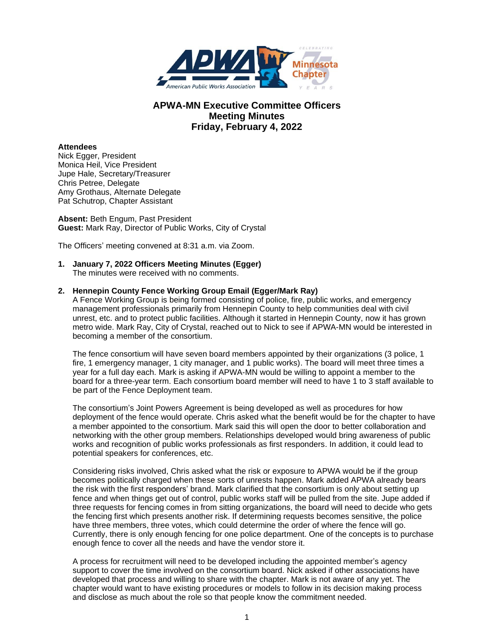

## **APWA-MN Executive Committee Officers Meeting Minutes Friday, February 4, 2022**

## **Attendees**

Nick Egger, President Monica Heil, Vice President Jupe Hale, Secretary/Treasurer Chris Petree, Delegate Amy Grothaus, Alternate Delegate Pat Schutrop, Chapter Assistant

**Absent:** Beth Engum, Past President **Guest:** Mark Ray, Director of Public Works, City of Crystal

The Officers' meeting convened at 8:31 a.m. via Zoom.

# **1. January 7, 2022 Officers Meeting Minutes (Egger)**

The minutes were received with no comments.

## **2. Hennepin County Fence Working Group Email (Egger/Mark Ray)**

A Fence Working Group is being formed consisting of police, fire, public works, and emergency management professionals primarily from Hennepin County to help communities deal with civil unrest, etc. and to protect public facilities. Although it started in Hennepin County, now it has grown metro wide. Mark Ray, City of Crystal, reached out to Nick to see if APWA-MN would be interested in becoming a member of the consortium.

The fence consortium will have seven board members appointed by their organizations (3 police, 1 fire, 1 emergency manager, 1 city manager, and 1 public works). The board will meet three times a year for a full day each. Mark is asking if APWA-MN would be willing to appoint a member to the board for a three-year term. Each consortium board member will need to have 1 to 3 staff available to be part of the Fence Deployment team.

The consortium's Joint Powers Agreement is being developed as well as procedures for how deployment of the fence would operate. Chris asked what the benefit would be for the chapter to have a member appointed to the consortium. Mark said this will open the door to better collaboration and networking with the other group members. Relationships developed would bring awareness of public works and recognition of public works professionals as first responders. In addition, it could lead to potential speakers for conferences, etc.

Considering risks involved, Chris asked what the risk or exposure to APWA would be if the group becomes politically charged when these sorts of unrests happen. Mark added APWA already bears the risk with the first responders' brand. Mark clarified that the consortium is only about setting up fence and when things get out of control, public works staff will be pulled from the site. Jupe added if three requests for fencing comes in from sitting organizations, the board will need to decide who gets the fencing first which presents another risk. If determining requests becomes sensitive, the police have three members, three votes, which could determine the order of where the fence will go. Currently, there is only enough fencing for one police department. One of the concepts is to purchase enough fence to cover all the needs and have the vendor store it.

A process for recruitment will need to be developed including the appointed member's agency support to cover the time involved on the consortium board. Nick asked if other associations have developed that process and willing to share with the chapter. Mark is not aware of any yet. The chapter would want to have existing procedures or models to follow in its decision making process and disclose as much about the role so that people know the commitment needed.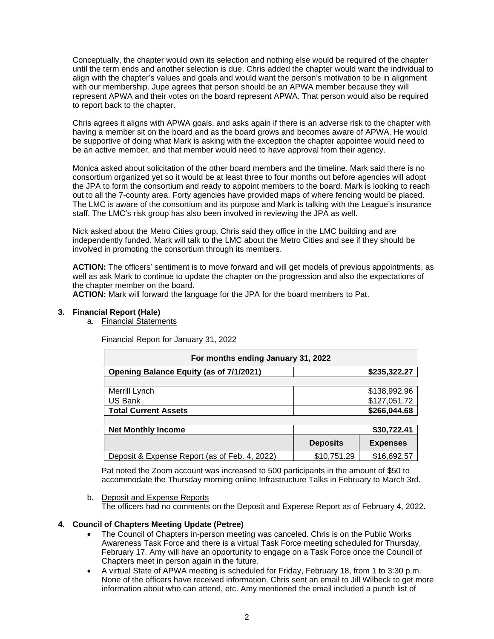Conceptually, the chapter would own its selection and nothing else would be required of the chapter until the term ends and another selection is due. Chris added the chapter would want the individual to align with the chapter's values and goals and would want the person's motivation to be in alignment with our membership. Jupe agrees that person should be an APWA member because they will represent APWA and their votes on the board represent APWA. That person would also be required to report back to the chapter.

Chris agrees it aligns with APWA goals, and asks again if there is an adverse risk to the chapter with having a member sit on the board and as the board grows and becomes aware of APWA. He would be supportive of doing what Mark is asking with the exception the chapter appointee would need to be an active member, and that member would need to have approval from their agency.

Monica asked about solicitation of the other board members and the timeline. Mark said there is no consortium organized yet so it would be at least three to four months out before agencies will adopt the JPA to form the consortium and ready to appoint members to the board. Mark is looking to reach out to all the 7-county area. Forty agencies have provided maps of where fencing would be placed. The LMC is aware of the consortium and its purpose and Mark is talking with the League's insurance staff. The LMC's risk group has also been involved in reviewing the JPA as well.

Nick asked about the Metro Cities group. Chris said they office in the LMC building and are independently funded. Mark will talk to the LMC about the Metro Cities and see if they should be involved in promoting the consortium through its members.

**ACTION:** The officers' sentiment is to move forward and will get models of previous appointments, as well as ask Mark to continue to update the chapter on the progression and also the expectations of the chapter member on the board.

**ACTION:** Mark will forward the language for the JPA for the board members to Pat.

## **3. Financial Report (Hale)**

a. Financial Statements

Financial Report for January 31, 2022

| For months ending January 31, 2022             |                 |                 |
|------------------------------------------------|-----------------|-----------------|
| <b>Opening Balance Equity (as of 7/1/2021)</b> |                 | \$235,322.27    |
|                                                |                 |                 |
| Merrill Lynch                                  |                 | \$138,992.96    |
| US Bank                                        |                 | \$127,051.72    |
| <b>Total Current Assets</b>                    |                 | \$266,044.68    |
|                                                |                 |                 |
| <b>Net Monthly Income</b>                      |                 | \$30,722.41     |
|                                                | <b>Deposits</b> | <b>Expenses</b> |
| Deposit & Expense Report (as of Feb. 4, 2022)  | \$10,751.29     | \$16,692.57     |

Pat noted the Zoom account was increased to 500 participants in the amount of \$50 to accommodate the Thursday morning online Infrastructure Talks in February to March 3rd.

b. Deposit and Expense Reports The officers had no comments on the Deposit and Expense Report as of February 4, 2022.

## **4. Council of Chapters Meeting Update (Petree)**

- The Council of Chapters in-person meeting was canceled. Chris is on the Public Works Awareness Task Force and there is a virtual Task Force meeting scheduled for Thursday, February 17. Amy will have an opportunity to engage on a Task Force once the Council of Chapters meet in person again in the future.
- A virtual State of APWA meeting is scheduled for Friday, February 18, from 1 to 3:30 p.m. None of the officers have received information. Chris sent an email to Jill Wilbeck to get more information about who can attend, etc. Amy mentioned the email included a punch list of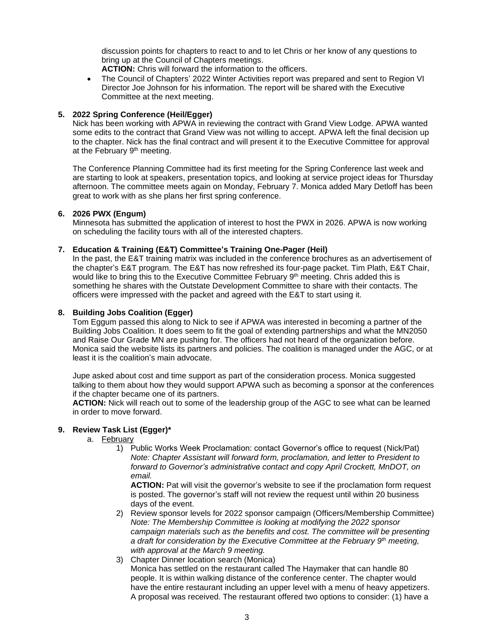discussion points for chapters to react to and to let Chris or her know of any questions to bring up at the Council of Chapters meetings.

- **ACTION:** Chris will forward the information to the officers.
- The Council of Chapters' 2022 Winter Activities report was prepared and sent to Region VI Director Joe Johnson for his information. The report will be shared with the Executive Committee at the next meeting.

## **5. 2022 Spring Conference (Heil/Egger)**

Nick has been working with APWA in reviewing the contract with Grand View Lodge. APWA wanted some edits to the contract that Grand View was not willing to accept. APWA left the final decision up to the chapter. Nick has the final contract and will present it to the Executive Committee for approval at the February 9<sup>th</sup> meeting.

The Conference Planning Committee had its first meeting for the Spring Conference last week and are starting to look at speakers, presentation topics, and looking at service project ideas for Thursday afternoon. The committee meets again on Monday, February 7. Monica added Mary Detloff has been great to work with as she plans her first spring conference.

## **6. 2026 PWX (Engum)**

Minnesota has submitted the application of interest to host the PWX in 2026. APWA is now working on scheduling the facility tours with all of the interested chapters.

## **7. Education & Training (E&T) Committee's Training One-Pager (Heil)**

In the past, the E&T training matrix was included in the conference brochures as an advertisement of the chapter's E&T program. The E&T has now refreshed its four-page packet. Tim Plath, E&T Chair, would like to bring this to the Executive Committee February  $9<sup>th</sup>$  meeting. Chris added this is something he shares with the Outstate Development Committee to share with their contacts. The officers were impressed with the packet and agreed with the E&T to start using it.

## **8. Building Jobs Coalition (Egger)**

Tom Eggum passed this along to Nick to see if APWA was interested in becoming a partner of the Building Jobs Coalition. It does seem to fit the goal of extending partnerships and what the MN2050 and Raise Our Grade MN are pushing for. The officers had not heard of the organization before. Monica said the website lists its partners and policies. The coalition is managed under the AGC, or at least it is the coalition's main advocate.

Jupe asked about cost and time support as part of the consideration process. Monica suggested talking to them about how they would support APWA such as becoming a sponsor at the conferences if the chapter became one of its partners.

**ACTION:** Nick will reach out to some of the leadership group of the AGC to see what can be learned in order to move forward.

## **9. Review Task List (Egger)\***

- a. February
	- 1) Public Works Week Proclamation: contact Governor's office to request (Nick/Pat) *Note: Chapter Assistant will forward form, proclamation, and letter to President to forward to Governor's administrative contact and copy April Crockett, MnDOT, on email.*

**ACTION:** Pat will visit the governor's website to see if the proclamation form request is posted. The governor's staff will not review the request until within 20 business days of the event.

- 2) Review sponsor levels for 2022 sponsor campaign (Officers/Membership Committee) *Note: The Membership Committee is looking at modifying the 2022 sponsor campaign materials such as the benefits and cost. The committee will be presenting a draft for consideration by the Executive Committee at the February 9th meeting, with approval at the March 9 meeting.*
- 3) Chapter Dinner location search (Monica) Monica has settled on the restaurant called The Haymaker that can handle 80 people. It is within walking distance of the conference center. The chapter would have the entire restaurant including an upper level with a menu of heavy appetizers. A proposal was received. The restaurant offered two options to consider: (1) have a